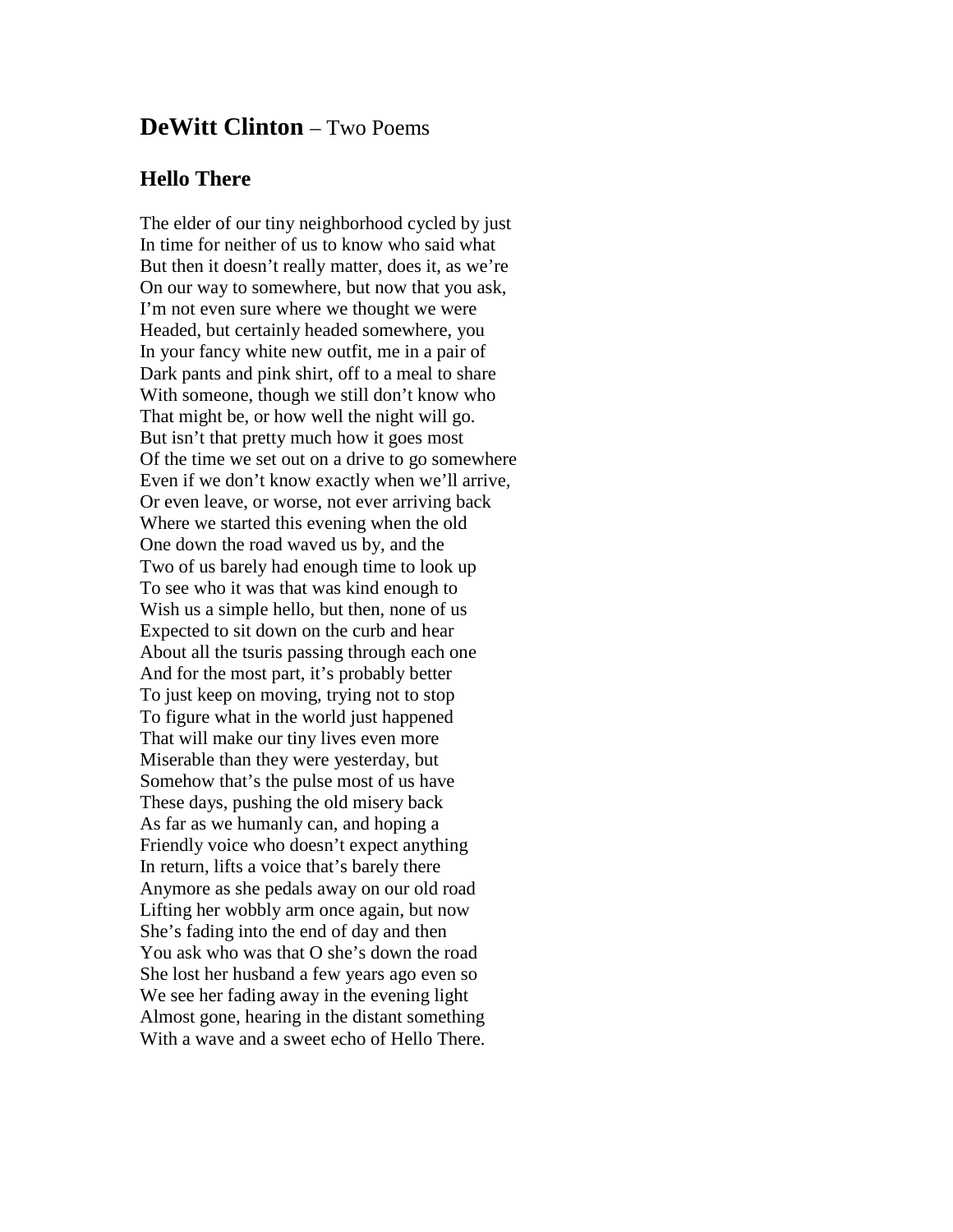## **DeWitt Clinton** – Two Poems

## **Hello There**

The elder of our tiny neighborhood cycled by just In time for neither of us to know who said what But then it doesn't really matter, does it, as we're On our way to somewhere, but now that you ask, I'm not even sure where we thought we were Headed, but certainly headed somewhere, you In your fancy white new outfit, me in a pair of Dark pants and pink shirt, off to a meal to share With someone, though we still don't know who That might be, or how well the night will go. But isn't that pretty much how it goes most Of the time we set out on a drive to go somewhere Even if we don't know exactly when we'll arrive, Or even leave, or worse, not ever arriving back Where we started this evening when the old One down the road waved us by, and the Two of us barely had enough time to look up To see who it was that was kind enough to Wish us a simple hello, but then, none of us Expected to sit down on the curb and hear About all the tsuris passing through each one And for the most part, it's probably better To just keep on moving, trying not to stop To figure what in the world just happened That will make our tiny lives even more Miserable than they were yesterday, but Somehow that's the pulse most of us have These days, pushing the old misery back As far as we humanly can, and hoping a Friendly voice who doesn't expect anything In return, lifts a voice that's barely there Anymore as she pedals away on our old road Lifting her wobbly arm once again, but now She's fading into the end of day and then You ask who was that O she's down the road She lost her husband a few years ago even so We see her fading away in the evening light Almost gone, hearing in the distant something With a wave and a sweet echo of Hello There.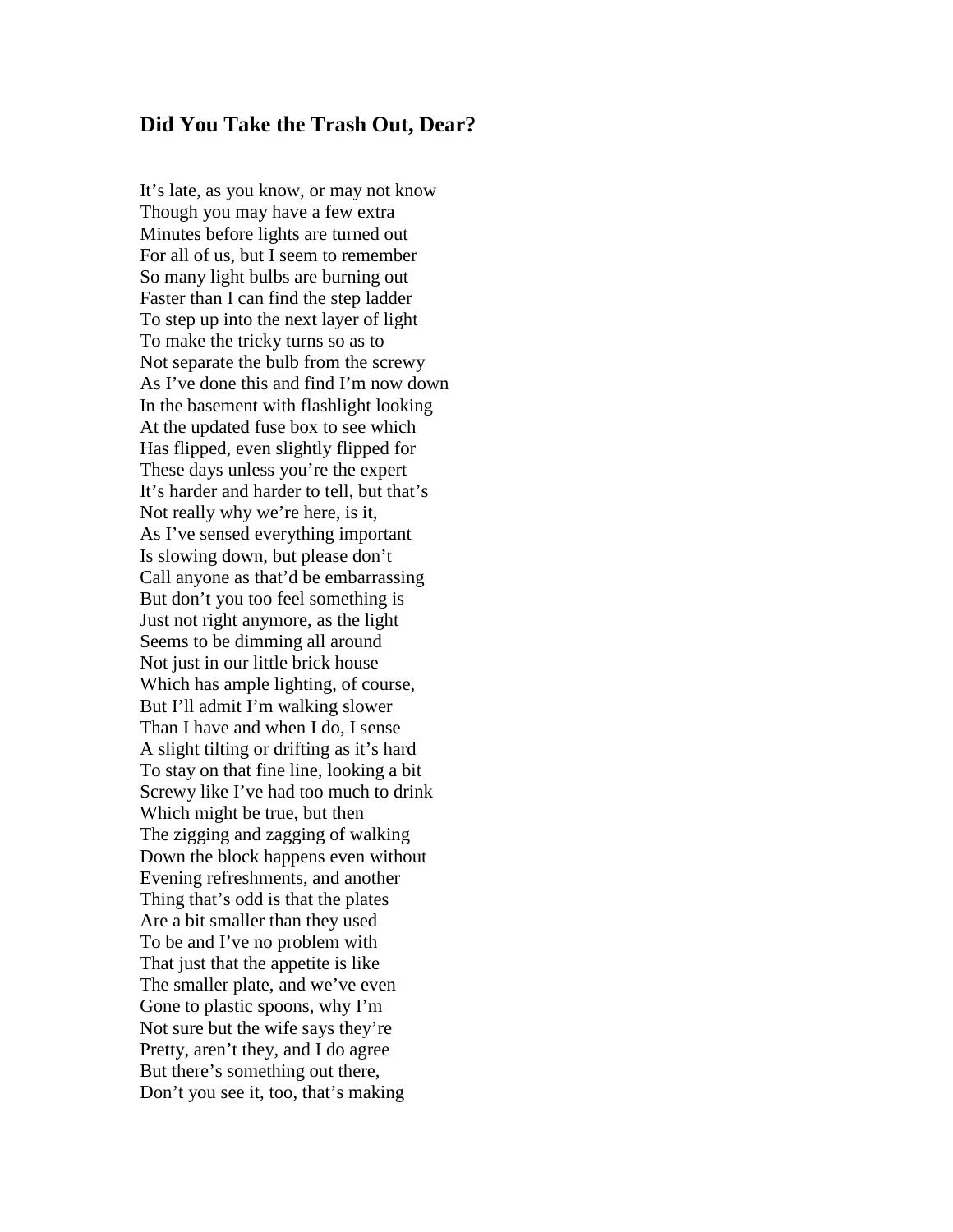## **Did You Take the Trash Out, Dear?**

It's late, as you know, or may not know Though you may have a few extra Minutes before lights are turned out For all of us, but I seem to remember So many light bulbs are burning out Faster than I can find the step ladder To step up into the next layer of light To make the tricky turns so as to Not separate the bulb from the screwy As I've done this and find I'm now down In the basement with flashlight looking At the updated fuse box to see which Has flipped, even slightly flipped for These days unless you're the expert It's harder and harder to tell, but that's Not really why we're here, is it, As I've sensed everything important Is slowing down, but please don't Call anyone as that'd be embarrassing But don't you too feel something is Just not right anymore, as the light Seems to be dimming all around Not just in our little brick house Which has ample lighting, of course, But I'll admit I'm walking slower Than I have and when I do, I sense A slight tilting or drifting as it's hard To stay on that fine line, looking a bit Screwy like I've had too much to drink Which might be true, but then The zigging and zagging of walking Down the block happens even without Evening refreshments, and another Thing that's odd is that the plates Are a bit smaller than they used To be and I've no problem with That just that the appetite is like The smaller plate, and we've even Gone to plastic spoons, why I'm Not sure but the wife says they're Pretty, aren't they, and I do agree But there's something out there, Don't you see it, too, that's making